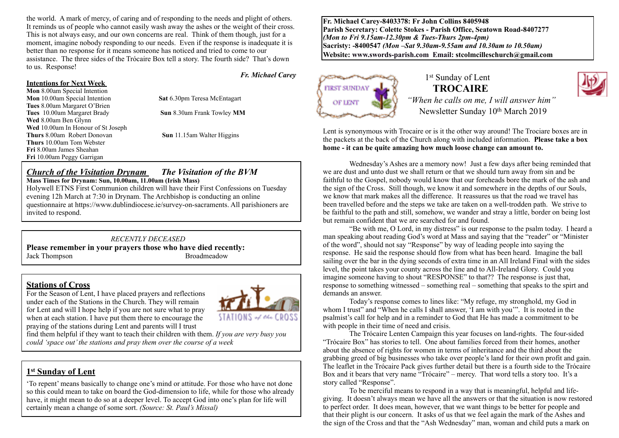the world. A mark of mercy, of caring and of responding to the needs and plight of others. It reminds us of people who cannot easily wash away the ashes or the weight of their cross. This is not always easy, and our own concerns are real. Think of them though, just for a moment, imagine nobody responding to our needs. Even if the response is inadequate it is better than no response for it means someone has noticed and tried to come to our assistance. The three sides of the Trócaire Box tell a story. The fourth side? That's down to us. Response!

#### **Intentions for Next Week**

**Mon** 8.00am Special Intention **Mon** 10.00am Special Intention **Sat** 6.30pm Teresa McEntagart **Tues** 8.00am Margaret O'Brien **Tues** 10.00am Margaret Brady **Sun** 8.30am Frank Towley **MM Wed** 8.00am Ben Glynn Wed 10.00am In Honour of St Joseph **Thurs** 8.00am Robert Donovan **Sun** 11.15am Walter Higgins **Thurs** 10.00am Tom Webster **Fri** 8.00am James Sheahan **Fri** 10.00am Peggy Garrigan

# *Church of the Visitation Drynam**The Visitation of the BVM*

**Mass Times for Drynam: Sun, 10.00am, 11.00am (Irish Mass)** 

Holywell ETNS First Communion children will have their First Confessions on Tuesday evening 12h March at 7:30 in Drynam. The Archbishop is conducting an online questionnaire at https://www.dublindiocese.ie/survey-on-sacraments. All parishioners are invited to respond.

#### *RECENTLY DECEASED*

**Please remember in your prayers those who have died recently:** Jack Thompson Broadmeadow

**Stations of Cross**<br>For the Season of Lent, I have placed prayers and reflections under each of the Stations in the Church. They will remain for Lent and will I hope help if you are not sure what to pray when at each station. I have put them there to encourage the praying of the stations during Lent and parents will I trust



*Fr. Michael Carey*

find them helpful if they want to teach their children with them. *If you are very busy you could 'space out' the stations and pray them over the course of a week*

### **1st Sunday of Lent**

'To repent' means basically to change one's mind or attitude. For those who have not done so this could mean to take on board the God-dimension to life, while for those who already have, it might mean to do so at a deeper level. To accept God into one's plan for life will certainly mean a change of some sort. *(Source: St. Paul's Missal)*

**Fr. Michael Carey-8403378: Fr John Collins 8405948 Parish Secretary: Colette Stokes - Parish Office, Seatown Road-8407277**  *(Mon to Fri 9.15am-12.30pm & Tues-Thurs 2pm-4pm)*  **Sacristy: -8400547** *(Mon –Sat 9.30am-9.55am and 10.30am to 10.50am)* **Website: [www.swords-parish.com Email:](http://www.swords-parish.com%20%20email) stcolmcilleschurch@gmail.com**



#### 1<sup>st</sup> Sunday of Lent  **TROCAIRE**



*"When he calls on me, I will answer him"*  Newsletter Sunday 10<sup>th</sup> March 2019

Lent is synonymous with Trocaire or is it the other way around! The Trociare boxes are in the packets at the back of the Church along with included information. **Please take a box home - it can be quite amazing how much loose change can amount to.** 

Wednesday's Ashes are a memory now! Just a few days after being reminded that we are dust and unto dust we shall return or that we should turn away from sin and be faithful to the Gospel, nobody would know that our foreheads bore the mark of the ash and the sign of the Cross. Still though, we know it and somewhere in the depths of our Souls, we know that mark makes all the difference. It reassures us that the road we travel has been travelled before and the steps we take are taken on a well-trodden path. We strive to be faithful to the path and still, somehow, we wander and stray a little, border on being lost but remain confident that we are searched for and found.

"Be with me, O Lord, in my distress" is our response to the psalm today. I heard a man speaking about reading God's word at Mass and saying that the "reader" or "Minister of the word", should not say "Response" by way of leading people into saying the response. He said the response should flow from what has been heard. Imagine the ball sailing over the bar in the dying seconds of extra time in an All Ireland Final with the sides level, the point takes your county across the line and to All-Ireland Glory. Could you imagine someone having to shout "RESPONSE" to that?? The response is just that, response to something witnessed – something real – something that speaks to the spirt and demands an answer.

Today's response comes to lines like: "My refuge, my stronghold, my God in whom I trust" and "When he calls I shall answer, 'I am with you". It is rooted in the psalmist's call for help and in a reminder to God that He has made a commitment to be with people in their time of need and crisis.

The Trócaire Lenten Campaign this year focuses on land-rights. The four-sided "Trócaire Box" has stories to tell. One about families forced from their homes, another about the absence of rights for women in terms of inheritance and the third about the grabbing greed of big businesses who take over people's land for their own profit and gain. The leaflet in the Trócaire Pack gives further detail but there is a fourth side to the Trócaire Box and it bears that very name "Trócaire" – mercy. That word tells a story too. It's a story called "Response".

To be merciful means to respond in a way that is meaningful, helpful and lifegiving. It doesn't always mean we have all the answers or that the situation is now restored to perfect order. It does mean, however, that we want things to be better for people and that their plight is our concern. It asks of us that we feel again the mark of the Ashes and the sign of the Cross and that the "Ash Wednesday" man, woman and child puts a mark on